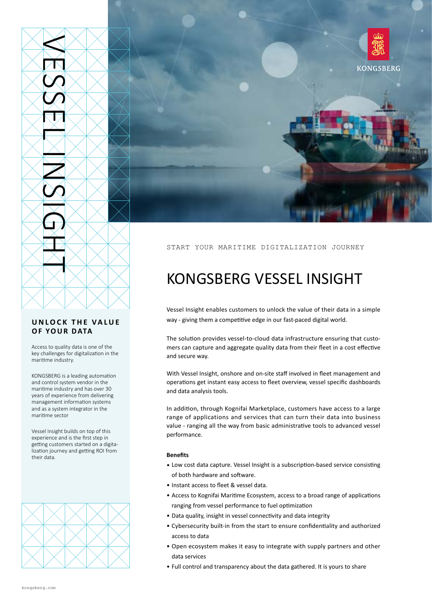

## **UNLOCK THE VALUE OF YOUR DATA**

Access to quality data is one of the key challenges for digitalization in the maritime industry.

KONGSBERG is a leading automation and control system vendor in the maritime industry and has over 30 years of experience from delivering management information systems and as a system integrator in the maritime sector

Vessel Insight builds on top of this experience and is the first step in getting customers started on a digitalization journey and getting ROI from their data





### START YOUR MARITIME DIGITALIZATION JOURNEY

# KONGSBERG VESSEL INSIGHT

Vessel Insight enables customers to unlock the value of their data in a simple way - giving them a competitive edge in our fast-paced digital world.

The solution provides vessel-to-cloud data infrastructure ensuring that customers can capture and aggregate quality data from their fleet in a cost effective and secure way.

With Vessel Insight, onshore and on-site staff involved in fleet management and operations get instant easy access to fleet overview, vessel specific dashboards and data analysis tools.

In addition, through Kognifai Marketplace, customers have access to a large range of applications and services that can turn their data into business value - ranging all the way from basic administrative tools to advanced vessel performance.

#### **Benefits**

- Low cost data capture. Vessel Insight is a subscription-based service consisting of both hardware and software.
- Instant access to fleet & vessel data.
- Access to Kognifai Maritime Ecosystem, access to a broad range of applications ranging from vessel performance to fuel optimization
- Data quality, insight in vessel connectivity and data integrity
- Cybersecurity built-in from the start to ensure confidentiality and authorized access to data
- Open ecosystem makes it easy to integrate with supply partners and other data services
- Full control and transparency about the data gathered. It is yours to share